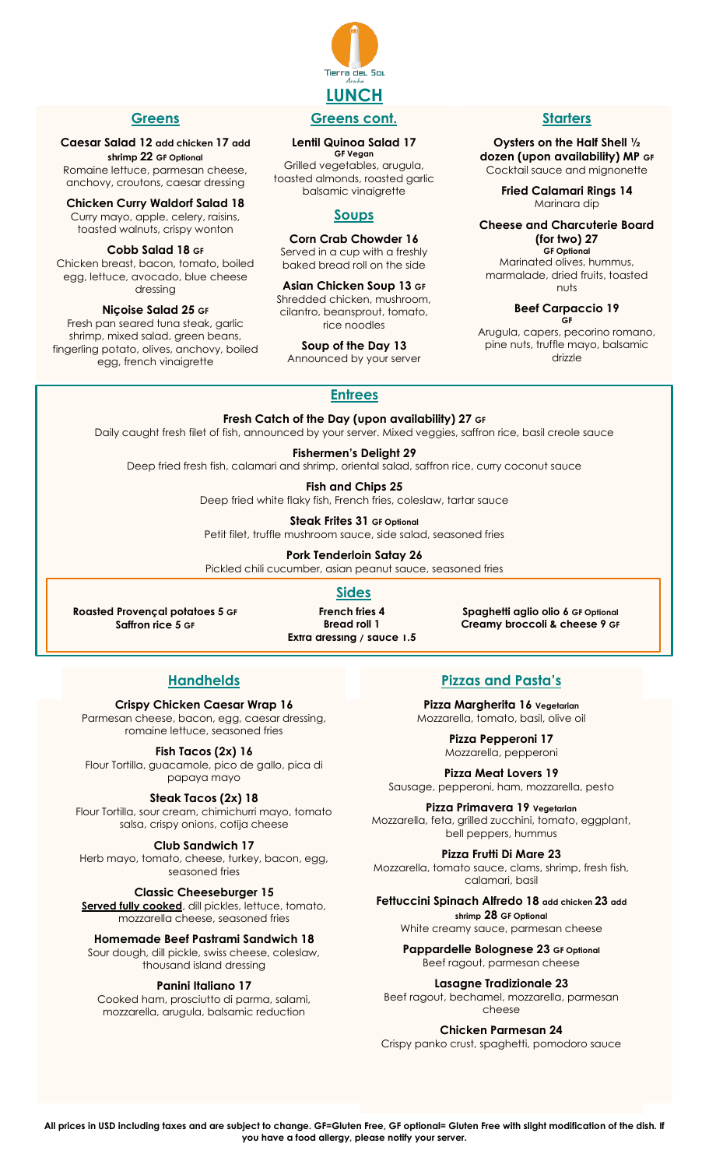

#### **Greens**

#### **Caesar Salad 12 add chicken 17 add shrimp 22 GF Optional**

Romaine lettuce, parmesan cheese, anchovy, croutons, caesar dressing

**Chicken Curry Waldorf Salad 18** Curry mayo, apple, celery, raisins, toasted walnuts, crispy wonton

**Cobb Salad 18 GF** Chicken breast, bacon, tomato, boiled egg, lettuce, avocado, blue cheese dressing

**Niçoise Salad 25 GF**

Fresh pan seared tuna steak, garlic shrimp, mixed salad, green beans, fingerling potato, olives, anchovy, boiled egg, french vinaigrette

#### **Lentil Quinoa Salad 17**

**GF Vegan** Grilled vegetables, arugula, toasted almonds, roasted garlic balsamic vinaigrette

## **Soups**

#### **Corn Crab Chowder 16**

Served in a cup with a freshly baked bread roll on the side

**Asian Chicken Soup 13 GF** Shredded chicken, mushroom, cilantro, beansprout, tomato, rice noodles

**Soup of the Day 13**

Announced by your server

**Starters**

**Oysters on the Half Shell ½ dozen (upon availability) MP GF** Cocktail sauce and mignonette

> **Fried Calamari Rings 14** Marinara dip

#### **Cheese and Charcuterie Board (for two) 27 GF Optional**

Marinated olives, hummus, marmalade, dried fruits, toasted nuts

#### **Beef Carpaccio 19 GF**

Arugula, capers, pecorino romano, pine nuts, truffle mayo, balsamic drizzle

## **Entrees**

**Fresh Catch of the Day (upon availability) 27 GF** Daily caught fresh filet of fish, announced by your server. Mixed veggies, saffron rice, basil creole sauce

**Fishermen's Delight 29** Deep fried fresh fish, calamari and shrimp, oriental salad, saffron rice, curry coconut sauce

> **Fish and Chips 25** Deep fried white flaky fish, French fries, coleslaw, tartar sauce

**Steak Frites 31 GF Optional**

Petit filet, truffle mushroom sauce, side salad, seasoned fries

**Pork Tenderloin Satay 26**

Pickled chili cucumber, asian peanut sauce, seasoned fries

## **Sides**

**Roasted Provençal potatoes 5 GF Saffron rice 5 GF**

**Extra dressing / sauce 1.5 French fries 4 Bread roll 1**

**Spaghetti aglio olio 6 GF Optional Creamy broccoli & cheese 9 GF**

## **Handhelds**

#### **Crispy Chicken Caesar Wrap 16**

Parmesan cheese, bacon, egg, caesar dressing, romaine lettuce, seasoned fries

**Fish Tacos (2x) 16**

Flour Tortilla, guacamole, pico de gallo, pica di papaya mayo

#### **Steak Tacos (2x) 18**

Flour Tortilla, sour cream, chimichurri mayo, tomato salsa, crispy onions, cotija cheese

**Club Sandwich 17**

Herb mayo, tomato, cheese, turkey, bacon, egg, seasoned fries

#### **Classic Cheeseburger 15**

**Served fully cooked**, dill pickles, lettuce, tomato, mozzarella cheese, seasoned fries

**Homemade Beef Pastrami Sandwich 18** Sour dough, dill pickle, swiss cheese, coleslaw,

thousand island dressing

#### **Panini Italiano 17**

Cooked ham, prosciutto di parma, salami, mozzarella, arugula, balsamic reduction

**Pizzas and Pasta's**

**Pizza Margherita 16 Vegetarian** Mozzarella, tomato, basil, olive oil

> **Pizza Pepperoni 17** Mozzarella, pepperoni

**Pizza Meat Lovers 19** Sausage, pepperoni, ham, mozzarella, pesto

**Pizza Primavera 19 Vegetarian** Mozzarella, feta, grilled zucchini, tomato, eggplant, bell peppers, hummus

**Pizza Frutti Di Mare 23** Mozzarella, tomato sauce, clams, shrimp, fresh fish, calamari, basil

**Fettuccini Spinach Alfredo 18 add chicken 23 add shrimp 28 GF Optional** White creamy sauce, parmesan cheese

**Pappardelle Bolognese 23 GF Optional**

Beef ragout, parmesan cheese

**Lasagne Tradizionale 23**

Beef ragout, bechamel, mozzarella, parmesan cheese

**Chicken Parmesan 24**

Crispy panko crust, spaghetti, pomodoro sauce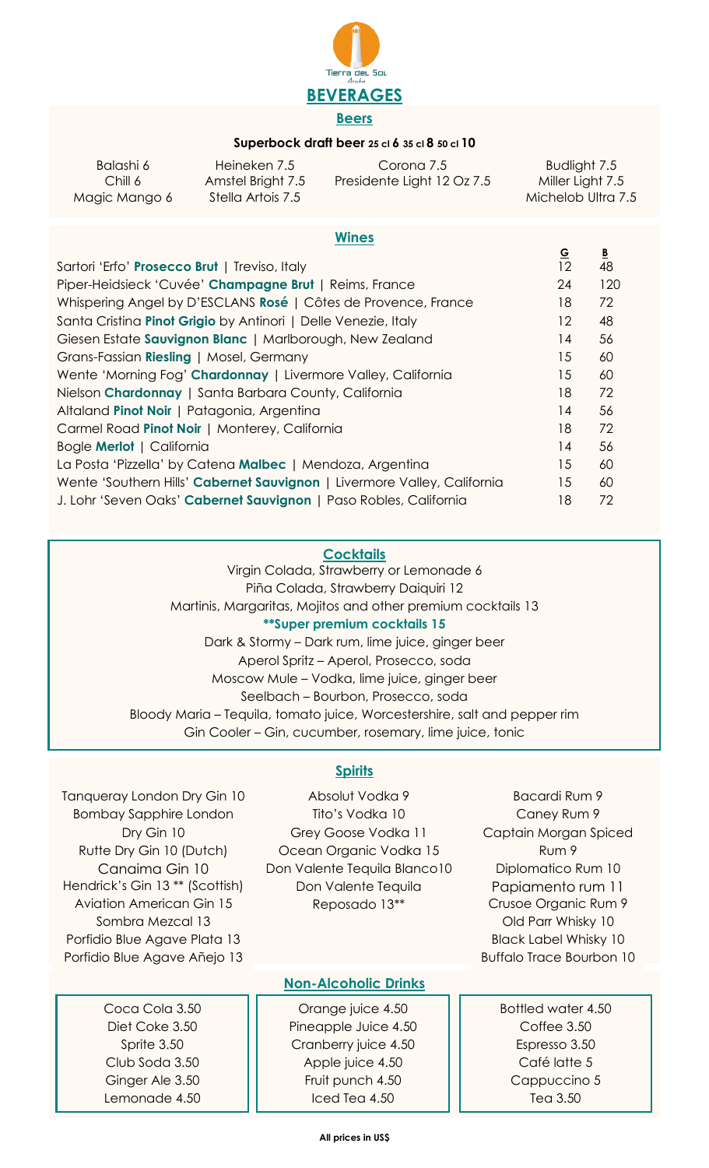

#### **Superbock draft beer 25 cl 6 35 cl 8 50 cl 10**

| Balashi 6     | Heineken 7.5      | Corona 7.5                 | Budlight 7.5       |
|---------------|-------------------|----------------------------|--------------------|
| Chill 6       | Amstel Bright 7.5 | Presidente Light 12 Oz 7.5 | Miller Light 7.5   |
| Magic Mango 6 | Stella Artois 7.5 |                            | Michelob Ultra 7.5 |

#### **Wines**

| Sartori 'Erfo' Prosecco Brut   Treviso, Italy                            | -<br>12 | 48  |
|--------------------------------------------------------------------------|---------|-----|
| Piper-Heidsieck 'Cuvée' Champagne Brut   Reims, France                   | 24      | 120 |
| Whispering Angel by D'ESCLANS Rosé   Côtes de Provence, France           | 18      | 72  |
| Santa Cristina Pinot Grigio by Antinori   Delle Venezie, Italy           | 12      | 48  |
| Giesen Estate Sauvignon Blanc   Marlborough, New Zealand                 | 14      | 56  |
| Grans-Fassian Riesling   Mosel, Germany                                  | 15      | 60  |
| Wente 'Morning Fog' Chardonnay   Livermore Valley, California            | 15      | 60  |
| Nielson Chardonnay   Santa Barbara County, California                    | 18      | 72  |
| Altaland Pinot Noir   Patagonia, Argentina                               | 14      | 56  |
| Carmel Road Pinot Noir   Monterey, California                            | 18      | 72  |
| Bogle <b>Merlot</b>   California                                         | 14      | 56  |
| La Posta 'Pizzella' by Catena Malbec   Mendoza, Argentina                | 15      | 60  |
| Wente 'Southern Hills' Cabernet Sauvignon   Livermore Valley, California | 15      | 60  |
| J. Lohr 'Seven Oaks' Cabernet Sauvignon   Paso Robles, California        | 18      | 72  |

#### **Cocktails**

Virgin Colada, Strawberry or Lemonade 6 Piña Colada, Strawberry Daiquiri 12 Martinis, Margaritas, Mojitos and other premium cocktails 13 **\*\*Super premium cocktails 15** Dark & Stormy – Dark rum, lime juice, ginger beer Aperol Spritz – Aperol, Prosecco, soda Moscow Mule – Vodka, lime juice, ginger beer Seelbach – Bourbon, Prosecco, soda Bloody Maria – Tequila, tomato juice, Worcestershire, salt and pepper rim Gin Cooler – Gin, cucumber, rosemary, lime juice, tonic

Tanqueray London Dry Gin 10 Bombay Sapphire London Dry Gin 10 Rutte Dry Gin 10 (Dutch) Canaima Gin 10 Hendrick's Gin 13 \*\* (Scottish) Aviation American Gin 15 Sombra Mezcal 13 Porfidio Blue Agave Plata 13 Porfidio Blue Agave Añejo 13

> Coca Cola 3.50 Diet Coke 3.50 Sprite 3.50 Club Soda 3.50 Ginger Ale 3.50 Lemonade 4.50

## **Spirits**

Absolut Vodka 9 Tito's Vodka 10 Grey Goose Vodka 11 Ocean Organic Vodka 15 Don Valente Tequila Blanco10 Don Valente Tequila Reposado 13\*\*

## **Non-Alcoholic Drinks**

Orange juice 4.50 Pineapple Juice 4.50 Cranberry juice 4.50 Apple juice 4.50 Fruit punch 4.50 Iced Tea 4.50

Bacardi Rum 9 Caney Rum 9 Captain Morgan Spiced Rum 9 Diplomatico Rum 10 Papiamento rum 11 Crusoe Organic Rum 9 Old Parr Whisky 10 Black Label Whisky 10 Buffalo Trace Bourbon 10

**G B**

Bottled water 4.50 Coffee 3.50 Espresso 3.50 Café latte 5 Cappuccino 5 Tea 3.50

#### **All prices in US\$**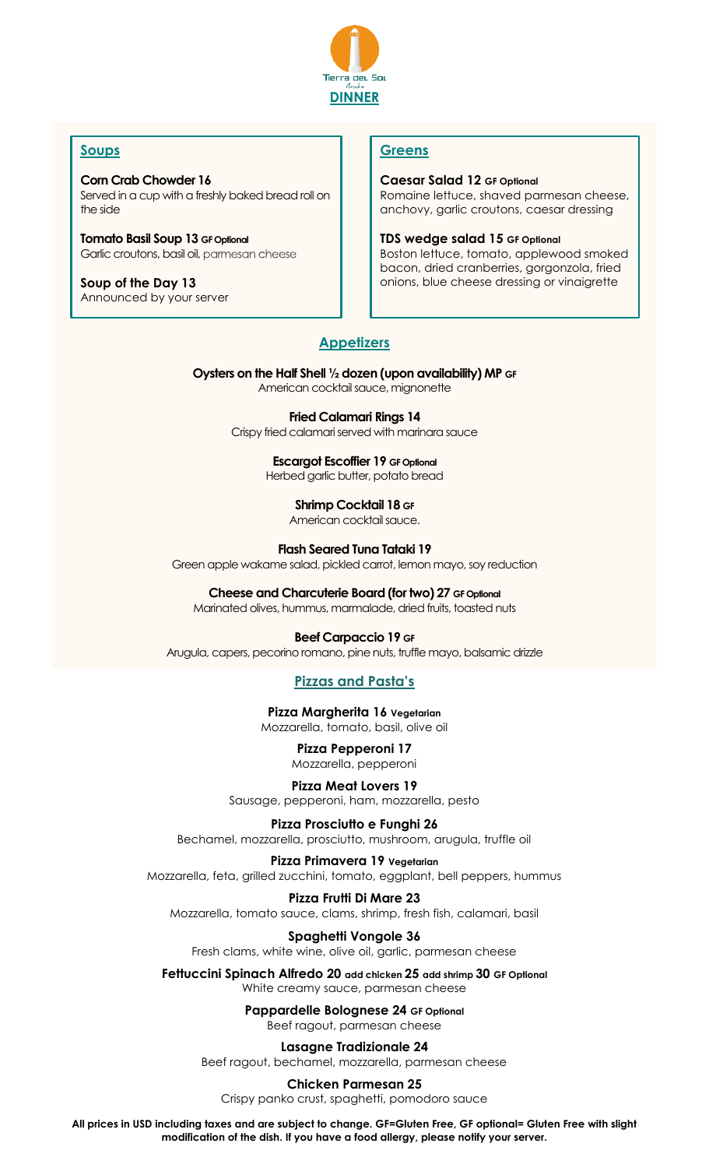

## **Soups**

**Corn Crab Chowder 16** Served in a cup with a freshly baked bread roll on the side

**Tomato Basil Soup 13 GF Optional** Garlic croutons, basil oil, parmesan cheese

**Soup of the Day 13** Announced by your server

## **Greens**

**Caesar Salad 12 GF Optional** Romaine lettuce, shaved parmesan cheese, anchovy, garlic croutons, caesar dressing

**TDS wedge salad 15 GF Optional**

Boston lettuce, tomato, applewood smoked bacon, dried cranberries, gorgonzola, fried onions, blue cheese dressing or vinaigrette

## **Appetizers**

**Oysters on the Half Shell ½ dozen (upon availability) MP GF** American cocktail sauce, mignonette

> **Fried Calamari Rings 14** Crispy fried calamari served with marinara sauce

> > **Escargot Escoffier 19 GF Optional**

Herbed garlic butter, potato bread

**Shrimp Cocktail 18 GF**

American cocktail sauce.

**Flash Seared Tuna Tataki 19**

Green apple wakame salad, pickled carrot, lemon mayo, soy reduction

**Cheese and Charcuterie Board (for two) 27 GF Optional**

Marinated olives, hummus, marmalade, dried fruits, toasted nuts

**Beef Carpaccio 19 GF**

Arugula, capers, pecorino romano, pine nuts, truffle mayo, balsamic drizzle

## **Pizzas and Pasta's**

**Pizza Margherita 16 Vegetarian** Mozzarella, tomato, basil, olive oil

> **Pizza Pepperoni 17** Mozzarella, pepperoni

**Pizza Meat Lovers 19** Sausage, pepperoni, ham, mozzarella, pesto

**Pizza Prosciutto e Funghi 26** Bechamel, mozzarella, prosciutto, mushroom, arugula, truffle oil

**Pizza Primavera 19 Vegetarian**

Mozzarella, feta, grilled zucchini, tomato, eggplant, bell peppers, hummus

**Pizza Frutti Di Mare 23** Mozzarella, tomato sauce, clams, shrimp, fresh fish, calamari, basil

**Spaghetti Vongole 36** Fresh clams, white wine, olive oil, garlic, parmesan cheese

**Fettuccini Spinach Alfredo 20 add chicken 25 add shrimp 30 GF Optional** White creamy sauce, parmesan cheese

> **Pappardelle Bolognese 24 GF Optional** Beef ragout, parmesan cheese

**Lasagne Tradizionale 24** Beef ragout, bechamel, mozzarella, parmesan cheese

**Chicken Parmesan 25** Crispy panko crust, spaghetti, pomodoro sauce

**All prices in USD including taxes and are subject to change. GF=Gluten Free, GF optional= Gluten Free with slight modification of the dish. If you have a food allergy, please notify your server.**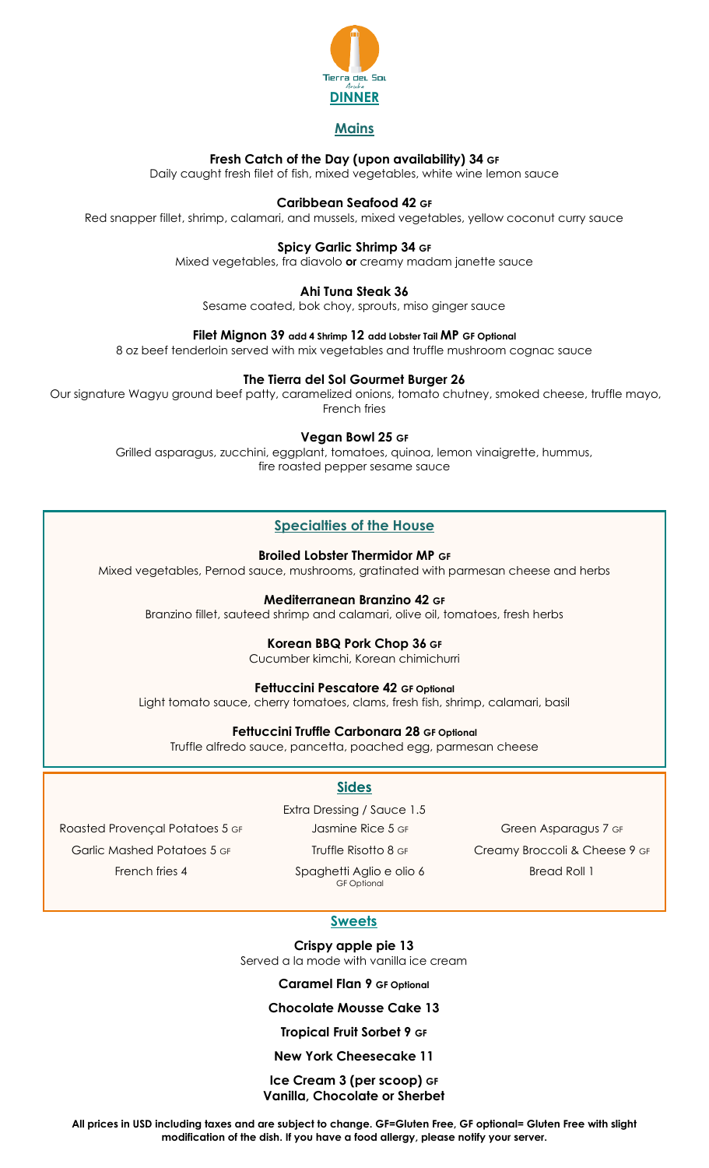

#### **Mains**

#### **Fresh Catch of the Day (upon availability) 34 GF**

Daily caught fresh filet of fish, mixed vegetables, white wine lemon sauce

#### **Caribbean Seafood 42 GF**

Red snapper fillet, shrimp, calamari, and mussels, mixed vegetables, yellow coconut curry sauce

#### **Spicy Garlic Shrimp 34 GF**

Mixed vegetables, fra diavolo **or** creamy madam janette sauce

#### **Ahi Tuna Steak 36**

Sesame coated, bok choy, sprouts, miso ginger sauce

#### **Filet Mignon 39 add 4 Shrimp 12 add Lobster Tail MP GF Optional**

8 oz beef tenderloin served with mix vegetables and truffle mushroom cognac sauce

#### **The Tierra del Sol Gourmet Burger 26**

Our signature Wagyu ground beef patty, caramelized onions, tomato chutney, smoked cheese, truffle mayo, French fries

#### **Vegan Bowl 25 GF**

Grilled asparagus, zucchini, eggplant, tomatoes, quinoa, lemon vinaigrette, hummus, fire roasted pepper sesame sauce

#### **Specialties of the House**

**Broiled Lobster Thermidor MP GF**

Mixed vegetables, Pernod sauce, mushrooms, gratinated with parmesan cheese and herbs

#### **Mediterranean Branzino 42 GF**

Branzino fillet, sauteed shrimp and calamari, olive oil, tomatoes, fresh herbs

#### **Korean BBQ Pork Chop 36 GF**

Cucumber kimchi, Korean chimichurri

#### **Fettuccini Pescatore 42 GF Optional**

Light tomato sauce, cherry tomatoes, clams, fresh fish, shrimp, calamari, basil

#### **Fettuccini Truffle Carbonara 28 GF Optional**

Truffle alfredo sauce, pancetta, poached egg, parmesan cheese

#### **Sides**

Roasted Provençal Potatoes 5 GF Garlic Mashed Potatoes 5 GF French fries 4

Extra Dressing / Sauce 1.5

Jasmine Rice 5 GF

Truffle Risotto 8 GF

Spaghetti Aglio e olio 6 GF Optional

Green Asparagus 7 GF Creamy Broccoli & Cheese 9 GF Bread Roll 1

## **Sweets**

**Crispy apple pie 13** Served a la mode with vanilla ice cream

**Caramel Flan 9 GF Optional**

#### **Chocolate Mousse Cake 13**

#### **Tropical Fruit Sorbet 9 GF**

#### **New York Cheesecake 11**

#### **Ice Cream 3 (per scoop) GF Vanilla, Chocolate or Sherbet**

**All prices in USD including taxes and are subject to change. GF=Gluten Free, GF optional= Gluten Free with slight modification of the dish. If you have a food allergy, please notify your server.**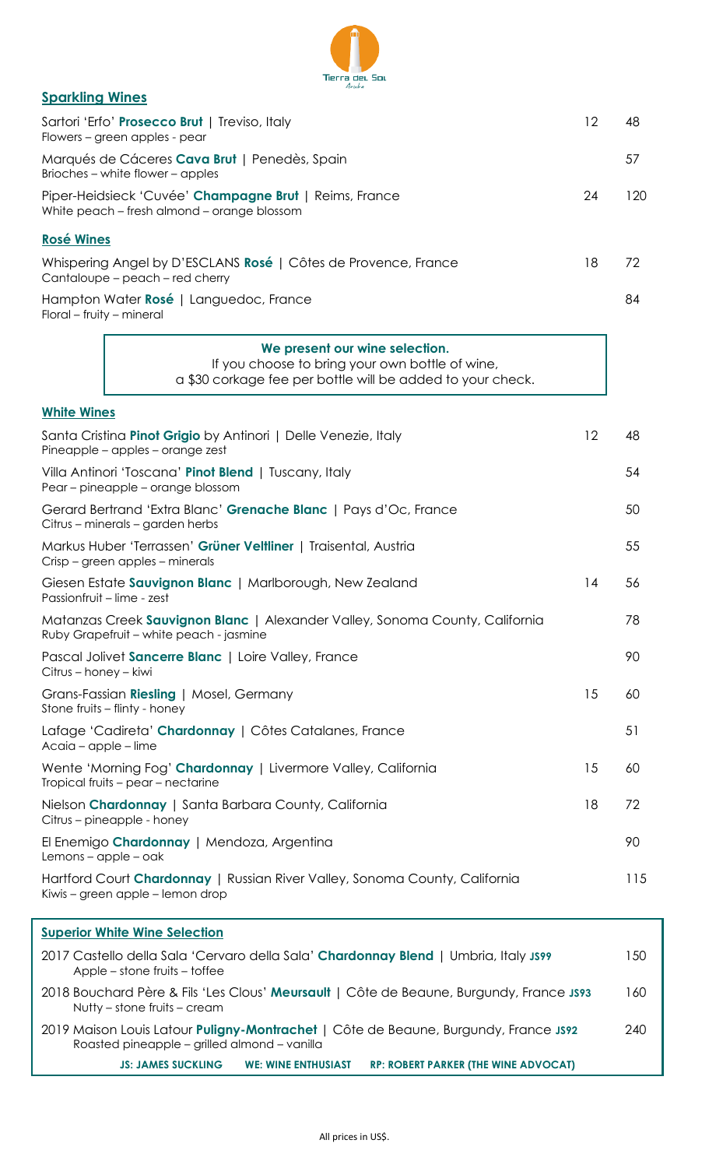

#### **Sparkling Wines**

| Sartori 'Erfo' Prosecco Brut   Treviso, Italy<br>Flowers - green apples - pear                                                                  |    | 48  |
|-------------------------------------------------------------------------------------------------------------------------------------------------|----|-----|
| Marqués de Cáceres Cava Brut   Penedès, Spain<br>Brioches – white flower – apples                                                               |    | 57  |
| Piper-Heidsieck 'Cuvée' Champagne Brut   Reims, France<br>White peach - fresh almond - orange blossom                                           | 24 | 120 |
| <b>Rosé Wines</b>                                                                                                                               |    |     |
| Whispering Angel by D'ESCLANS Rosé   Côtes de Provence, France<br>Cantaloupe – peach – red cherry                                               | 18 | 72  |
| Hampton Water Rosé   Languedoc, France<br>Floral – fruity – mineral                                                                             |    | 84  |
| We present our wine selection.<br>If you choose to bring your own bottle of wine,<br>a \$30 corkage fee per bottle will be added to your check. |    |     |
| <b>White Wines</b>                                                                                                                              |    |     |
| Santa Cristina Pinot Grigio by Antinori   Delle Venezie, Italy<br>Pineapple - apples - orange zest                                              | 12 | 48  |
| Villa Antinori 'Toscana' Pinot Blend   Tuscany, Italy<br>Pear – pineapple – orange blossom                                                      |    | 54  |
| Gerard Bertrand 'Extra Blanc' Grenache Blanc   Pays d'Oc, France<br>Citrus – minerals – garden herbs                                            |    | 50  |
| Markus Huber 'Terrassen' Grüner Veltliner   Traisental, Austria<br>Crisp – green apples – minerals                                              |    | 55  |
| Giesen Estate Sauvignon Blanc   Marlborough, New Zealand<br>Passionfruit - lime - zest                                                          | 14 | 56  |

| Matanzas Creek Sauvignon Blanc   Alexander Valley, Sonoma County, California<br>Ruby Grapefruit – white peach - jasmine |    | 78  |
|-------------------------------------------------------------------------------------------------------------------------|----|-----|
| Pascal Jolivet Sancerre Blanc   Loire Valley, France<br>Citrus – honey – kiwi                                           |    | 90  |
| Grans-Fassian Riesling   Mosel, Germany<br>Stone fruits – flinty - honey                                                | 15 | 60. |
| Lafage 'Cadireta' Chardonnay   Côtes Catalanes, France<br>Acaia – apple – lime                                          |    | 51  |
| Wente 'Morning Fog' Chardonnay   Livermore Valley, California                                                           | 15 | 60. |

Tropical fruits – pear – nectarine Nielson **Chardonnay** | Santa Barbara County, California 18 18 72 Citrus – pineapple - honey El Enemigo **Chardonnay** | Mendoza, Argentina 90 Lemons – apple – oak Hartford Court **Chardonnay** | Russian River Valley, Sonoma County, California 115

Kiwis – green apple – lemon drop

## **Superior White Wine Selection** 2017 Castello della Sala 'Cervaro della Sala' **Chardonnay Blend** | Umbria, Italy **JS99** 150 Apple – stone fruits – toffee 2018 Bouchard Père & Fils 'Les Clous' **Meursault** | Côte de Beaune, Burgundy, France **JS93** 160 Nutty – stone fruits – cream 2019 Maison Louis Latour **Puligny-Montrachet** | Côte de Beaune, Burgundy, France **JS92** 240 Roasted pineapple – grilled almond – vanilla **JS: JAMES SUCKLING WE: WINE ENTHUSIAST RP: ROBERT PARKER (THE WINE ADVOCAT)**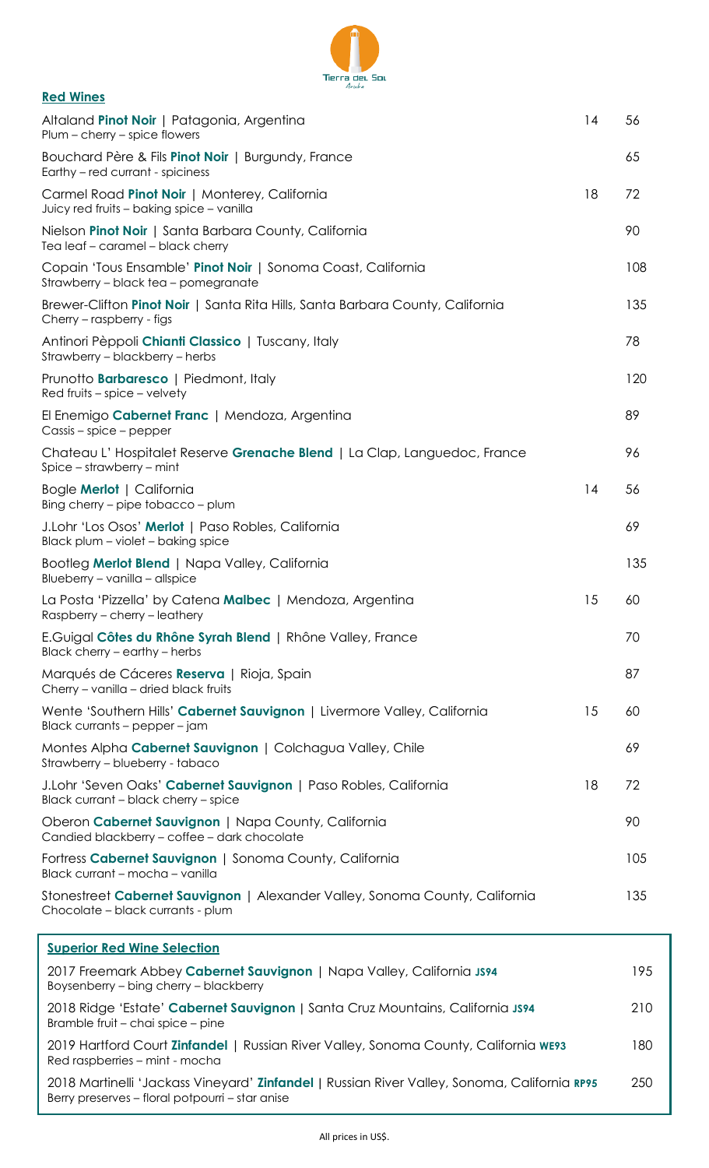

| <b>Red Wines</b>                                                                                                  |    |     |
|-------------------------------------------------------------------------------------------------------------------|----|-----|
| Altaland Pinot Noir   Patagonia, Argentina<br>$Plum - cherry - spite$ flowers                                     | 14 | 56  |
| Bouchard Père & Fils Pinot Noir   Burgundy, France<br>Earthy - red currant - spiciness                            |    | 65  |
| Carmel Road Pinot Noir   Monterey, California<br>Juicy red fruits - baking spice - vanilla                        | 18 | 72  |
| Nielson Pinot Noir   Santa Barbara County, California<br>Tea leaf - caramel - black cherry                        |    | 90  |
| Copain 'Tous Ensamble' Pinot Noir   Sonoma Coast, California<br>Strawberry – black tea – pomegranate              |    | 108 |
| Brewer-Clifton Pinot Noir   Santa Rita Hills, Santa Barbara County, California<br>Cherry - raspberry - figs       |    | 135 |
| Antinori Pèppoli Chianti Classico   Tuscany, Italy<br>Strawberry - blackberry - herbs                             |    | 78  |
| Prunotto <b>Barbaresco</b>   Piedmont, Italy<br>$Red$ fruits – spice – velvety                                    |    | 120 |
| El Enemigo Cabernet Franc   Mendoza, Argentina<br>Cassis – spice – pepper                                         |    | 89  |
| Chateau L'Hospitalet Reserve Grenache Blend   La Clap, Languedoc, France<br>$Spice - strawberry - mint$           |    | 96  |
| Bogle Merlot   California<br>Bing cherry – pipe tobacco – plum                                                    | 14 | 56  |
| J.Lohr 'Los Osos' Merlot   Paso Robles, California<br>Black plum - violet - baking spice                          |    | 69  |
| Bootleg Merlot Blend   Napa Valley, California<br>Blueberry - vanilla - allspice                                  |    | 135 |
| La Posta 'Pizzella' by Catena Malbec   Mendoza, Argentina<br>Raspberry – cherry – leathery                        | 15 | 60  |
| E.Guigal Côtes du Rhône Syrah Blend   Rhône Valley, France<br>Black cherry - earthy - herbs                       |    | 70  |
| Marqués de Cáceres Reserva   Rioja, Spain<br>Cherry - vanilla - dried black fruits                                |    | 87  |
| Wente 'Southern Hills' Cabernet Sauvignon   Livermore Valley, California<br>Black currants - pepper - jam         | 15 | 60  |
| Montes Alpha Cabernet Sauvignon   Colchagua Valley, Chile<br>Strawberry - blueberry - tabaco                      |    | 69  |
| J.Lohr 'Seven Oaks' Cabernet Sauvignon   Paso Robles, California<br>Black currant - black cherry - spice          | 18 | 72  |
| Oberon Cabernet Sauvignon   Napa County, California<br>Candied blackberry - coffee - dark chocolate               |    | 90  |
| Fortress Cabernet Sauvignon   Sonoma County, California<br>Black currant - mocha - vanilla                        |    | 105 |
| Stonestreet Cabernet Sauvignon   Alexander Valley, Sonoma County, California<br>Chocolate - black currants - plum |    | 135 |
| <b>Superior Red Wine Selection</b>                                                                                |    |     |
| 2017 Freemark Abbey Cabernet Sauvignon   Napa Valley, California JS94                                             |    | 195 |

| 2017 Freemark Abbey Cabernet Sauvignon   Napa Valley, California JS94<br>Boysenberry – bing cherry – blackberry                                 | 195 |
|-------------------------------------------------------------------------------------------------------------------------------------------------|-----|
| 2018 Ridge 'Estate' Cabernet Sauvignon   Santa Cruz Mountains, California JS94<br>Bramble fruit – chai spice – pine                             | 210 |
| 2019 Hartford Court Zinfandel   Russian River Valley, Sonoma County, California we93<br>Red raspberries - mint - mocha                          | 180 |
| 2018 Martinelli 'Jackass Vineyard' Zinfandel   Russian River Valley, Sonoma, California RP95<br>Berry preserves - floral potpourri - star anise | 250 |